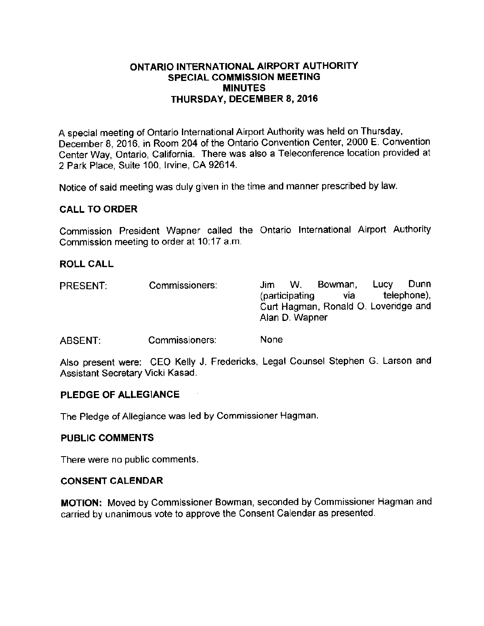## ONTARIO INTERNATIONAL AIRPORT AUTHORITY SPECIAL COMMISSION MEETING **MINUTES** THURSDAY, DECEMBER 8, 2016

A special meeting of Ontario International Airport Authority was held on Thursday, December 8, 2016, in Room 204 of the Ontario Convention Center, 2000 E. Convention Center Way, Ontario, California. There was also a Teleconference location provided at 2 Park Place, Suite 100, Irvine, CA 92614.

Notice of said meeting was duly given in the time and manner prescribed by law.

## CALL TO ORDER

Commission President Wapner called the Ontario International Airport Authority Commission meeting to order at 10:17 a.m.

## ROLL CALL

| <b>PRESENT:</b> | Commissioners: | Jim.                                 | W. | Bowman, | Lucy        | Dunn |
|-----------------|----------------|--------------------------------------|----|---------|-------------|------|
|                 |                | (participating                       |    | via.    | telephone), |      |
|                 |                | Curt Hagman, Ronald O. Loveridge and |    |         |             |      |
|                 |                | Alan D. Wapner                       |    |         |             |      |
|                 |                |                                      |    |         |             |      |

ABSENT: Commissioners: None

Also present were: CEO Kelly J. Fredericks, Legal Counsel Stephen G. Larson and Assistant Secretary Vicki Kasad.

#### PLEDGE OF ALLEGIANCE

The Pledge of Allegiance was led by Commissioner Hagman.

## PUBLIC COMMENTS

There were no public comments.

#### CONSENT CALENDAR

MOTION: Moved by Commissioner Bowman, seconded by Commissioner Hagman and carried by unanimous vote to approve the Consent Calendar as presented.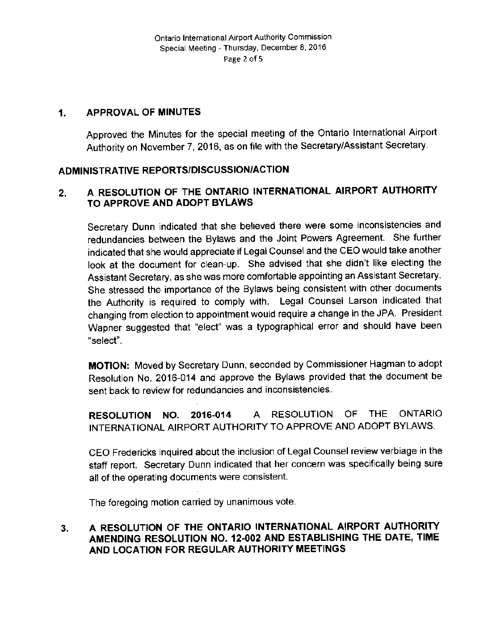#### APPROVAL OF MINUTES  $1<sub>1</sub>$

Approved the Minutes for the special meeting of the Ontario International Airport Authority on November 7, 2016, as on file with the Secretary/ Assistant Secretary.

# ADMINISTRATIVE REPORTS/DISCUSSION/ACTION

# 2. A RESOLUTION OF THE ONTARIO INTERNATIONAL AIRPORT AUTHORITY TO APPROVE AND ADOPT BYLAWS

Secretary Dunn indicated that she believed there were some inconsistencies and redundancies between the Bylaws and the Joint Powers Agreement. She further indicated that she would appreciate if Legal Counsel and the CEO would take another look at the document for clean-up. She advised that she didn't like electing the Assistant Secretary, as she was more comfortable appointing an Assistant Secretary. She stressed the importance of the Bylaws being consistent with other documents the Authority is required to comply with. Legal Counsel Larson indicated that changing from election to appointment would require a change in the JPA. President Wapner suggested that "elect" was a typographical error and should have been select".

MOTION: Moved by Secretary Dunn, seconded by Commissioner Hagman to adopt Resolution No. 2016-014 and approve the Bylaws provided that the document be sent back to review for redundancies and inconsistencies.

RESOLUTION NO. 2016-014 A RESOLUTION OF THE ONTARIO INTERNATIONAL AIRPORT AUTHORITY TO APPROVE AND ADOPT BYLAWS.

CEO Fredericks inquired about the inclusion of Legal Counsel review verbiage in the staff report. Secretary Dunn indicated that her concern was specifically being sure all of the operating documents were consistent.

The foregoing motion carried by unanimous vote

 $\bar{z}$ 

# 3. A RESOLUTION OF THE ONTARIO INTERNATIONAL AIRPORT AUTHORITY AMENDING RESOLUTION NO. 12-002 AND ESTABLISHING THE DATE, TIME AND LOCATION FOR REGULAR AUTHORITY MEETINGS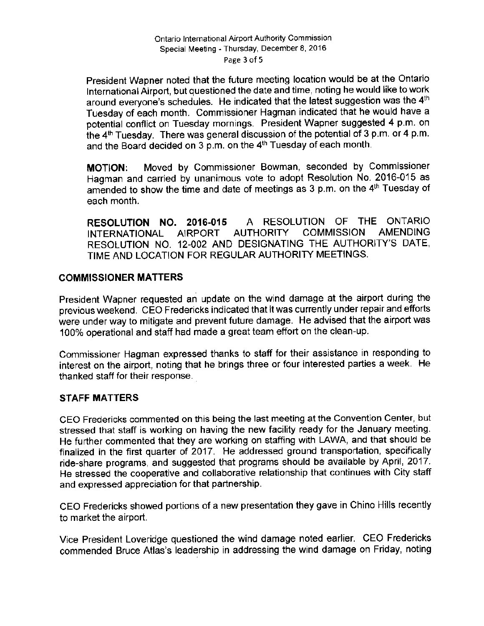## Ontario International Airport Authority Commission Special Meeting - Thursday, December 8, 2016 Page <sup>3</sup> of 5

President Wapner noted that the future meeting location would be at the Ontario International Airport, but questioned the date and time, noting he would like to work around everyone's schedules. He indicated that the latest suggestion was the 4<sup>th</sup> Tuesday of each month. Commissioner Hagman indicated that he would have a potential conflict on Tuesday mornings. President Wapner suggested 4 p.m. on the 4th Tuesday. There was general discussion of the potential of 3 p. m. or 4 p. m. and the Board decided on 3 p.m. on the 4<sup>th</sup> Tuesday of each month.

MOTION: Moved by Commissioner Bowman, seconded by Commissioner Hagman and carried by unanimous vote to adopt Resolution No. 2016-015 as amended to show the time and date of meetings as 3 p.m. on the 4<sup>th</sup> Tuesday of each month.

RESOLUTION NO. 2016-015 A RESOLUTION OF THE ONTARIO<br>INTERNATIONAL AIRPORT AUTHORITY COMMISSION AMENDING INTERNATIONAL AIRPORT AUTHORITY COMMISSION RESOLUTION NO. 12-002 AND DESIGNATING THE AUTHORITY'S DATE, TIME AND LOCATION FOR REGULAR AUTHORITY MEETINGS.

# COMMISSIONER MATTERS

President Wapner requested an update on the wind damage at the airport during the previous weekend. CEO Fredericks indicated that it was currently under repair and efforts were under way to mitigate and prevent future damage. He advised that the airport was 100% operational and staff had made a great team effort on the clean-up.

Commissioner Hagman expressed thanks to staff for their assistance in responding to interest on the airport, noting that he brings three or four interested parties a week. He thanked staff for their response.

# STAFF MATTERS

CEO Fredericks commented on this being the last meeting at the Convention Center, but stressed that staff is working on having the new facility ready for the January meeting. He further commented that they are working on staffing with LAWA, and that should be finalized in the first quarter of 2017. He addressed ground transportation, specifically ride -share programs, and suggested that programs should be available by April, 2017. He stressed the cooperative and collaborative relationship that continues with City staff and expressed appreciation for that partnership.

CEO Fredericks showed portions of a new presentation they gave in Chino Hills recently to market the airport.

Vice President Loveridge questioned the wind damage noted earlier. CEO Fredericks commended Bruce Atlas's leadership in addressing the wind damage on Friday, noting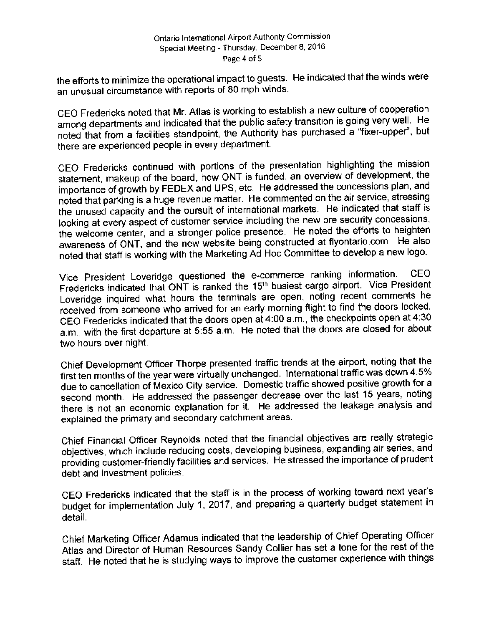## Ontario International Airport Authority Commission Special Meeting - Thursday, December 8, 2016 Page 4 of <sup>5</sup>

the efforts to minimize the operational impact to guests. He indicated that the winds were an unusual circumstance with reports of 80 mph winds.

CEO Fredericks noted that Mr. Atlas is working to establish a new culture of cooperation<br>among departments and indicated that the public safety transition is going very well. He among departments and indicated that the public safety transition is going very well. He noted that from a facilities standpoint, the Authority has purchased a " fixer-upper", but there are experienced people in every department.

CEO Fredericks continued with portions of the presentation highlighting the mission statement, makeup of the board, how ONT is funded, an overview of development, the importance of growth by FEDEX and UPS, etc. He addressed the concessions plan, and noted that parking is a huge revenue matter. He commented on the air service, stressing the unused capacity and the pursuit of international markets. He indicated that staff is looking at every aspect of customer service including the new pre security concessions, looking at every aspect of customer service including the new pre security concessions, the welcome center, and a stronger police presence. He noted the efforts to heighten awareness of ONT, and the new website being constructed at flyontario. com. He also noted that staff is working with the Marketing Ad Hoc Committee to develop a new logo.

Vice President Loveridge questioned the e- commerce ranking information. CEO Fredericks indicated that ONT is ranked the 15<sup>th</sup> busiest cargo airport. Vice President Loveridge inquired what hours the terminals are open, noting recent comments he received from someone who arrived for an early morning flight to find the doors locked. CEO Fredericks indicated that the doors open at 4: 00 a. m., the checkpoints open at 4:30 a.m., with the first departure at 5:55 a.m. He noted that the doors are closed for about two hours over night.

Chief Development Officer Thorpe presented traffic trends at the airport, noting that the first ten months of the year were virtually unchanged. International traffic was down 4. 5% due to cancellation of Mexico City service. Domestic traffic showed positive growth for a second month. He addressed the passenger decrease over the last 15 years, noting there is not an economic explanation for it. He addressed the leakage analysis and explained the primary and secondary catchment areas.

Chief Financial Officer Reynolds noted that the financial objectives are really strategic objectives, which include reducing costs, developing business, expanding air series, and providing customer -friendly facilities and services. He stressed the importance of prudent debt and investment policies.

CEO Fredericks indicated that the staff is in the process of working toward next year's budget for implementation July 1, 2017, and preparing a quarterly budget statement in detail.

Chief Marketing Officer Adamus indicated that the leadership of Chief Operating Officer Atlas and Director of Human Resources Sandy Collier has set a tone for the rest of the staff. He noted that he is studying ways to improve the customer experience with things